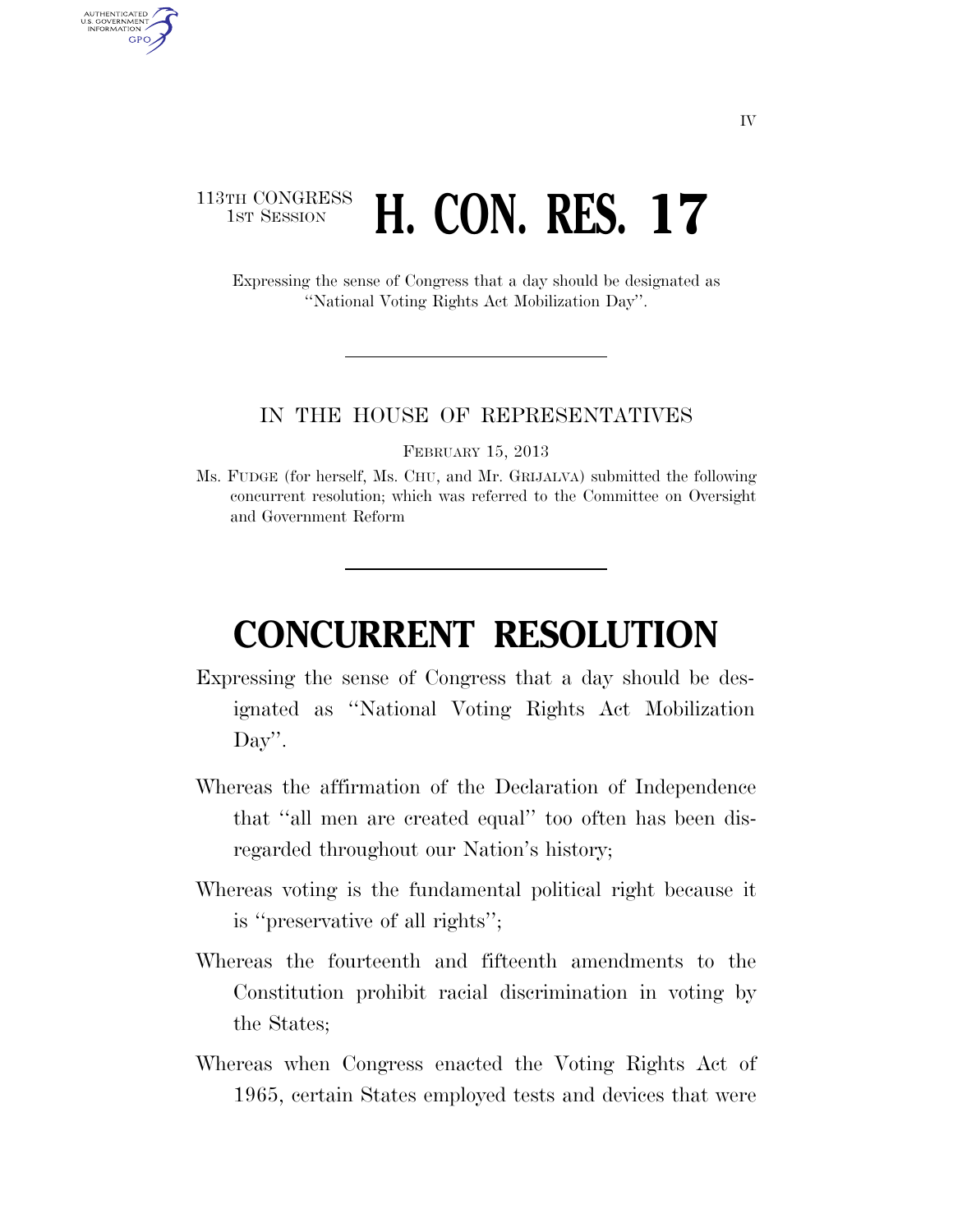## 113TH CONGRESS **1st Session H. CON. RES. 17**

AUTHENTICATED U.S. GOVERNMENT **GPO** 

> Expressing the sense of Congress that a day should be designated as ''National Voting Rights Act Mobilization Day''.

## IN THE HOUSE OF REPRESENTATIVES

FEBRUARY 15, 2013

Ms. FUDGE (for herself, Ms. CHU, and Mr. GRIJALVA) submitted the following concurrent resolution; which was referred to the Committee on Oversight and Government Reform

## **CONCURRENT RESOLUTION**

- Expressing the sense of Congress that a day should be designated as ''National Voting Rights Act Mobilization Day''.
- Whereas the affirmation of the Declaration of Independence that ''all men are created equal'' too often has been disregarded throughout our Nation's history;
- Whereas voting is the fundamental political right because it is ''preservative of all rights'';
- Whereas the fourteenth and fifteenth amendments to the Constitution prohibit racial discrimination in voting by the States;
- Whereas when Congress enacted the Voting Rights Act of 1965, certain States employed tests and devices that were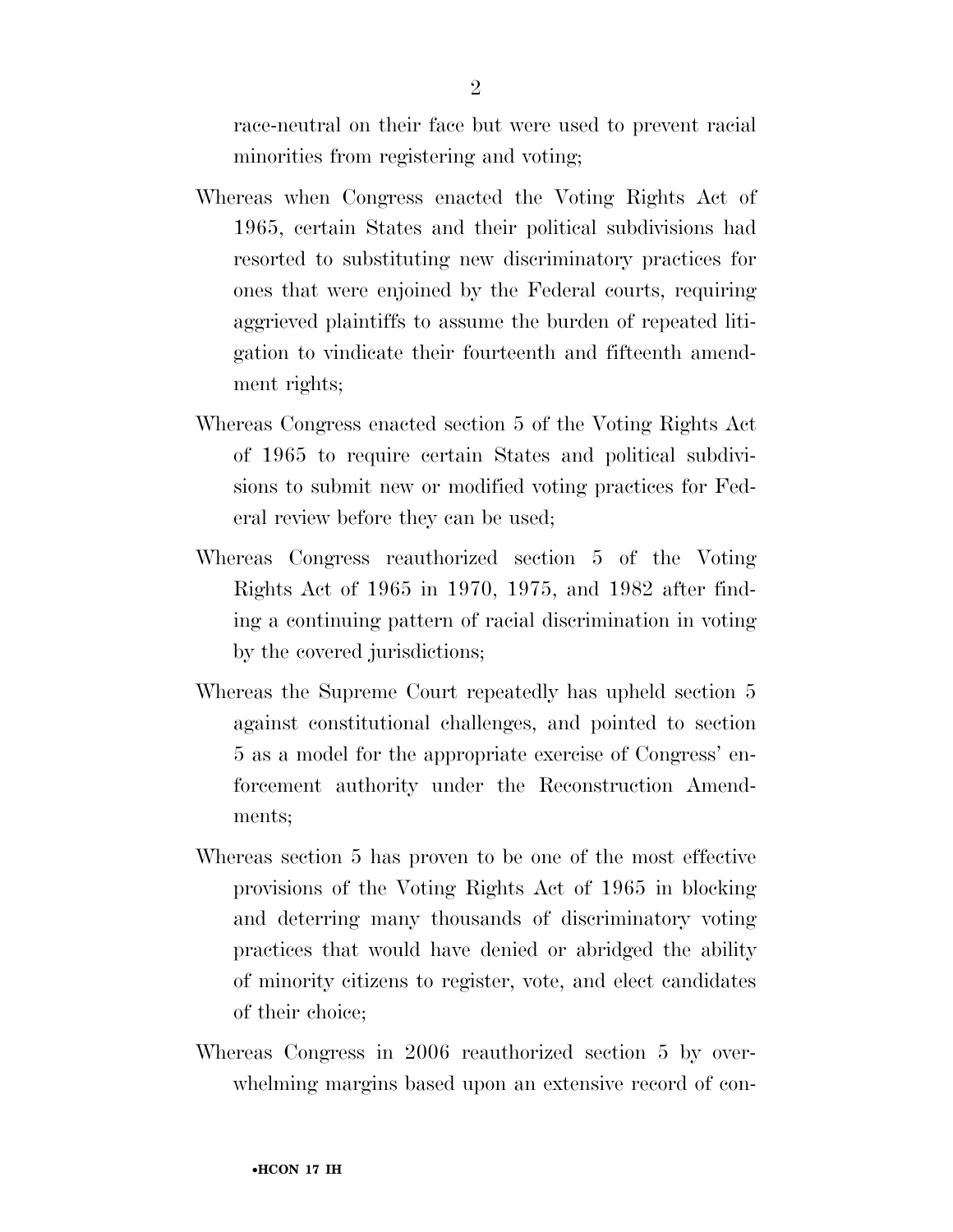race-neutral on their face but were used to prevent racial minorities from registering and voting;

- Whereas when Congress enacted the Voting Rights Act of 1965, certain States and their political subdivisions had resorted to substituting new discriminatory practices for ones that were enjoined by the Federal courts, requiring aggrieved plaintiffs to assume the burden of repeated litigation to vindicate their fourteenth and fifteenth amendment rights;
- Whereas Congress enacted section 5 of the Voting Rights Act of 1965 to require certain States and political subdivisions to submit new or modified voting practices for Federal review before they can be used;
- Whereas Congress reauthorized section 5 of the Voting Rights Act of 1965 in 1970, 1975, and 1982 after finding a continuing pattern of racial discrimination in voting by the covered jurisdictions;
- Whereas the Supreme Court repeatedly has upheld section 5 against constitutional challenges, and pointed to section 5 as a model for the appropriate exercise of Congress' enforcement authority under the Reconstruction Amendments;
- Whereas section 5 has proven to be one of the most effective provisions of the Voting Rights Act of 1965 in blocking and deterring many thousands of discriminatory voting practices that would have denied or abridged the ability of minority citizens to register, vote, and elect candidates of their choice;
- Whereas Congress in 2006 reauthorized section 5 by overwhelming margins based upon an extensive record of con-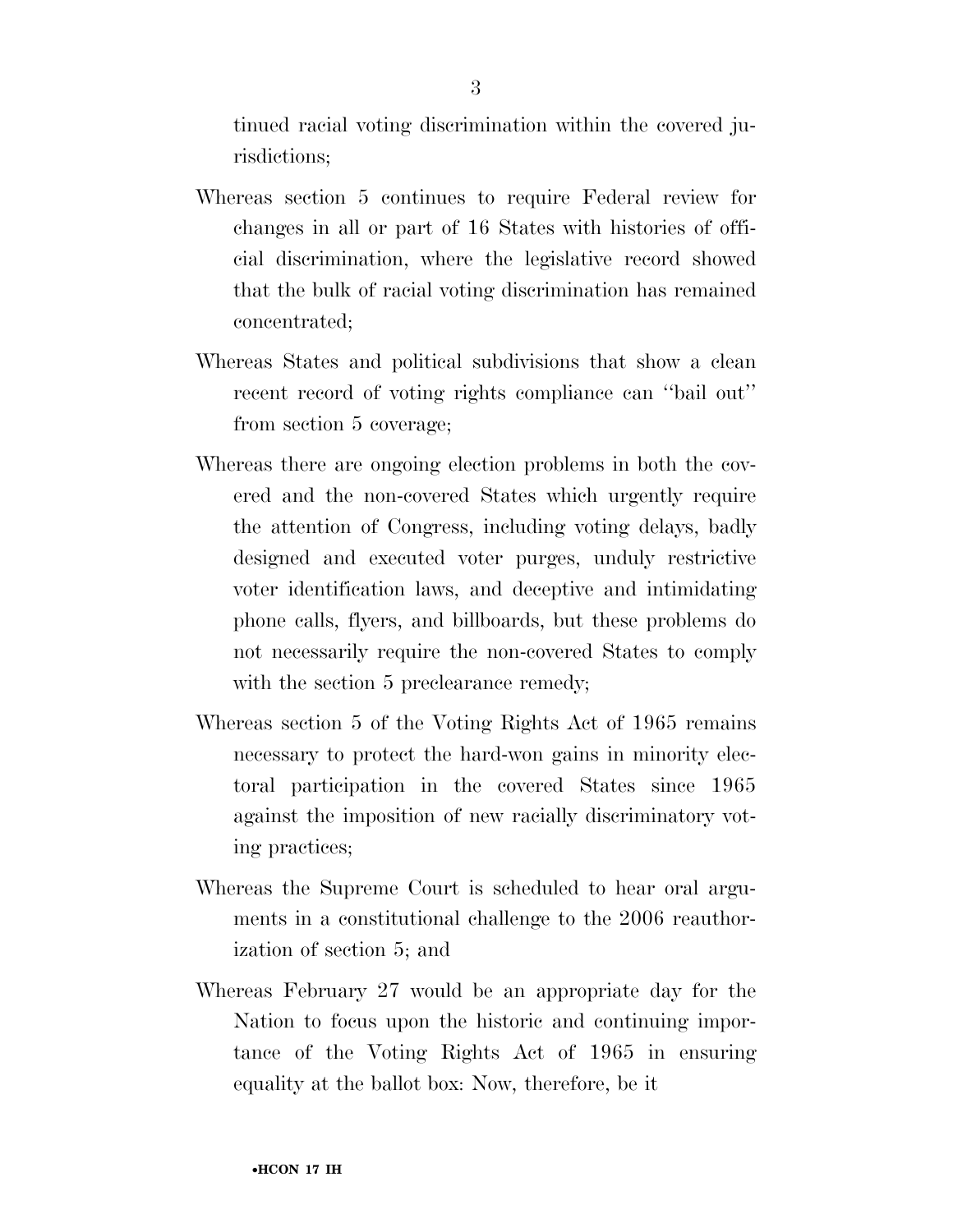tinued racial voting discrimination within the covered jurisdictions;

- Whereas section 5 continues to require Federal review for changes in all or part of 16 States with histories of official discrimination, where the legislative record showed that the bulk of racial voting discrimination has remained concentrated;
- Whereas States and political subdivisions that show a clean recent record of voting rights compliance can ''bail out'' from section 5 coverage;
- Whereas there are ongoing election problems in both the covered and the non-covered States which urgently require the attention of Congress, including voting delays, badly designed and executed voter purges, unduly restrictive voter identification laws, and deceptive and intimidating phone calls, flyers, and billboards, but these problems do not necessarily require the non-covered States to comply with the section 5 preclearance remedy;
- Whereas section 5 of the Voting Rights Act of 1965 remains necessary to protect the hard-won gains in minority electoral participation in the covered States since 1965 against the imposition of new racially discriminatory voting practices;
- Whereas the Supreme Court is scheduled to hear oral arguments in a constitutional challenge to the 2006 reauthorization of section 5; and
- Whereas February 27 would be an appropriate day for the Nation to focus upon the historic and continuing importance of the Voting Rights Act of 1965 in ensuring equality at the ballot box: Now, therefore, be it